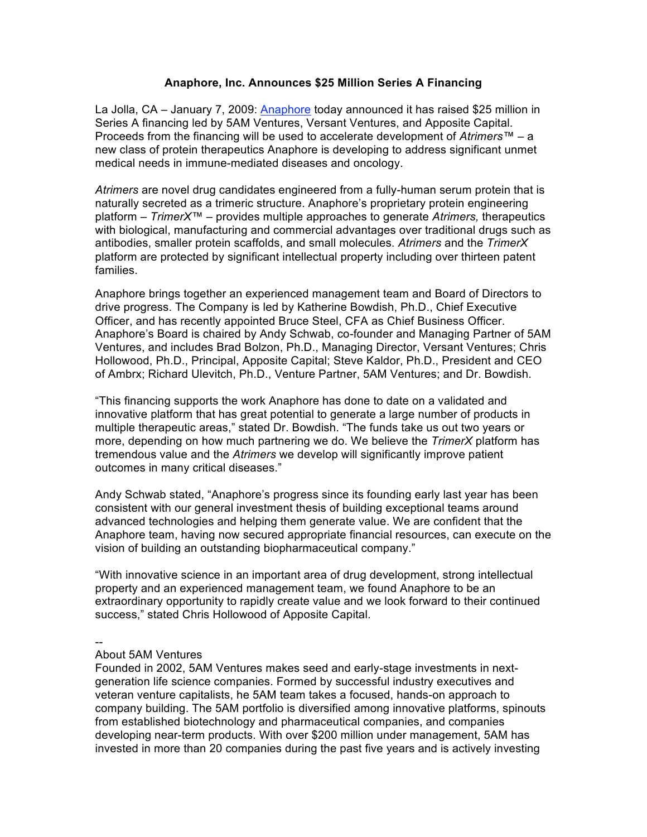## **Anaphore, Inc. Announces \$25 Million Series A Financing**

La Jolla, CA – January 7, 2009: Anaphore today announced it has raised \$25 million in Series A financing led by 5AM Ventures, Versant Ventures, and Apposite Capital. Proceeds from the financing will be used to accelerate development of *Atrimers™* – a new class of protein therapeutics Anaphore is developing to address significant unmet medical needs in immune-mediated diseases and oncology.

*Atrimers* are novel drug candidates engineered from a fully-human serum protein that is naturally secreted as a trimeric structure. Anaphore's proprietary protein engineering platform – *TrimerX™* – provides multiple approaches to generate *Atrimers,* therapeutics with biological, manufacturing and commercial advantages over traditional drugs such as antibodies, smaller protein scaffolds, and small molecules. *Atrimers* and the *TrimerX* platform are protected by significant intellectual property including over thirteen patent families.

Anaphore brings together an experienced management team and Board of Directors to drive progress. The Company is led by Katherine Bowdish, Ph.D., Chief Executive Officer, and has recently appointed Bruce Steel, CFA as Chief Business Officer. Anaphore's Board is chaired by Andy Schwab, co-founder and Managing Partner of 5AM Ventures, and includes Brad Bolzon, Ph.D., Managing Director, Versant Ventures; Chris Hollowood, Ph.D., Principal, Apposite Capital; Steve Kaldor, Ph.D., President and CEO of Ambrx; Richard Ulevitch, Ph.D., Venture Partner, 5AM Ventures; and Dr. Bowdish.

"This financing supports the work Anaphore has done to date on a validated and innovative platform that has great potential to generate a large number of products in multiple therapeutic areas," stated Dr. Bowdish. "The funds take us out two years or more, depending on how much partnering we do. We believe the *TrimerX* platform has tremendous value and the *Atrimers* we develop will significantly improve patient outcomes in many critical diseases."

Andy Schwab stated, "Anaphore's progress since its founding early last year has been consistent with our general investment thesis of building exceptional teams around advanced technologies and helping them generate value. We are confident that the Anaphore team, having now secured appropriate financial resources, can execute on the vision of building an outstanding biopharmaceutical company."

"With innovative science in an important area of drug development, strong intellectual property and an experienced management team, we found Anaphore to be an extraordinary opportunity to rapidly create value and we look forward to their continued success," stated Chris Hollowood of Apposite Capital.

--

## About 5AM Ventures

Founded in 2002, 5AM Ventures makes seed and early-stage investments in nextgeneration life science companies. Formed by successful industry executives and veteran venture capitalists, he 5AM team takes a focused, hands-on approach to company building. The 5AM portfolio is diversified among innovative platforms, spinouts from established biotechnology and pharmaceutical companies, and companies developing near-term products. With over \$200 million under management, 5AM has invested in more than 20 companies during the past five years and is actively investing